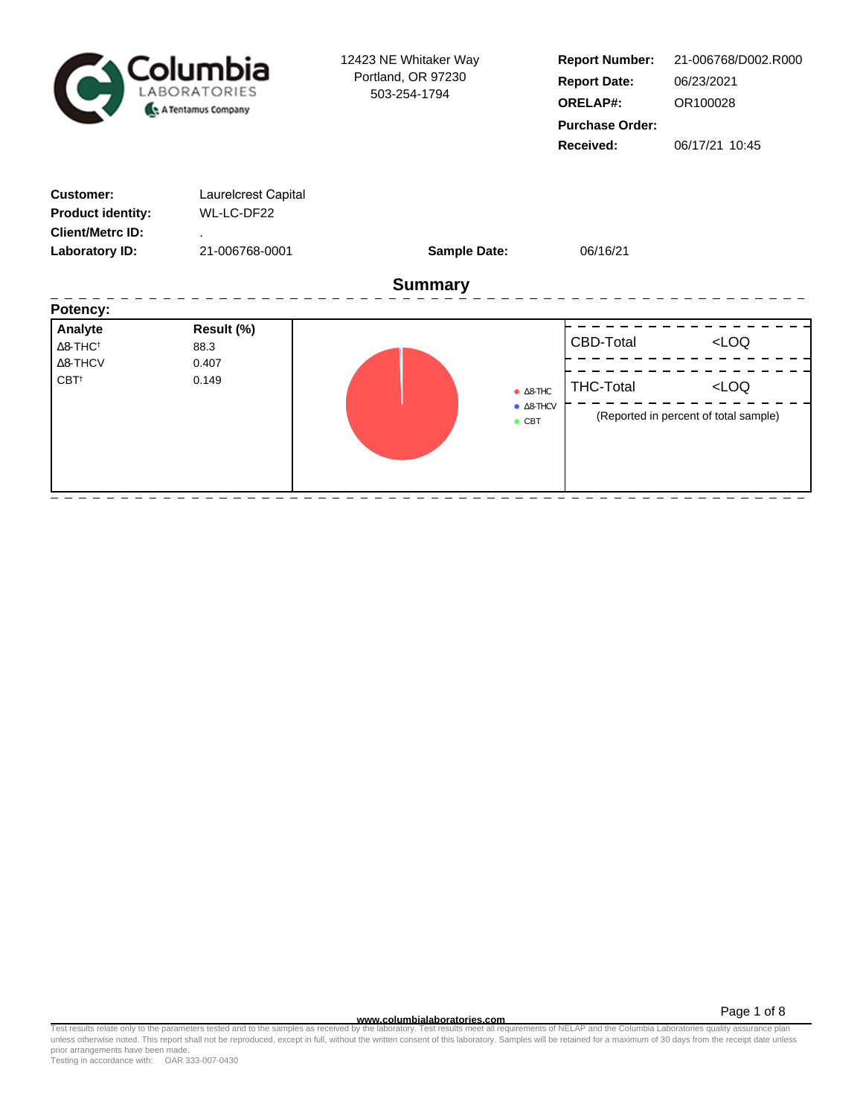| Columbia<br>LABORATORIES<br>A Tentamus Company                                            |                                                     | 12423 NE Whitaker Way<br>Portland, OR 97230<br>503-254-1794 | <b>Report Number:</b><br><b>Report Date:</b><br><b>ORELAP#:</b><br><b>Purchase Order:</b><br>Received: | 21-006768/D002.R000<br>06/23/2021<br>OR100028<br>06/17/21 10:45 |  |  |  |  |  |  |
|-------------------------------------------------------------------------------------------|-----------------------------------------------------|-------------------------------------------------------------|--------------------------------------------------------------------------------------------------------|-----------------------------------------------------------------|--|--|--|--|--|--|
| <b>Customer:</b><br><b>Product identity:</b><br><b>Client/Metrc ID:</b><br>Laboratory ID: | Laurelcrest Capital<br>WL-LC-DF22<br>21-006768-0001 | <b>Sample Date:</b>                                         | 06/16/21                                                                                               |                                                                 |  |  |  |  |  |  |
| <b>Summary</b><br>Potency:                                                                |                                                     |                                                             |                                                                                                        |                                                                 |  |  |  |  |  |  |
| Analyte<br>$\Delta$ 8-THC <sup>+</sup><br>$\Delta$ 8-THCV<br>CBT <sup>+</sup>             | Result (%)<br>88.3<br>0.407<br>0.149                | $\bullet$ CBT                                               | CBD-Total<br><b>THC-Total</b><br>8-THC<br>8-THCV                                                       | LOO<br>LOO<br>(Reported in percent of total sample)             |  |  |  |  |  |  |

**WWW.columbialaboratories.com**<br>unless otherwise noted. This report shall not be reproduced, except in full, without the written consent of this laboratory. Samples will be retained for a maximum of 30 days from the receipt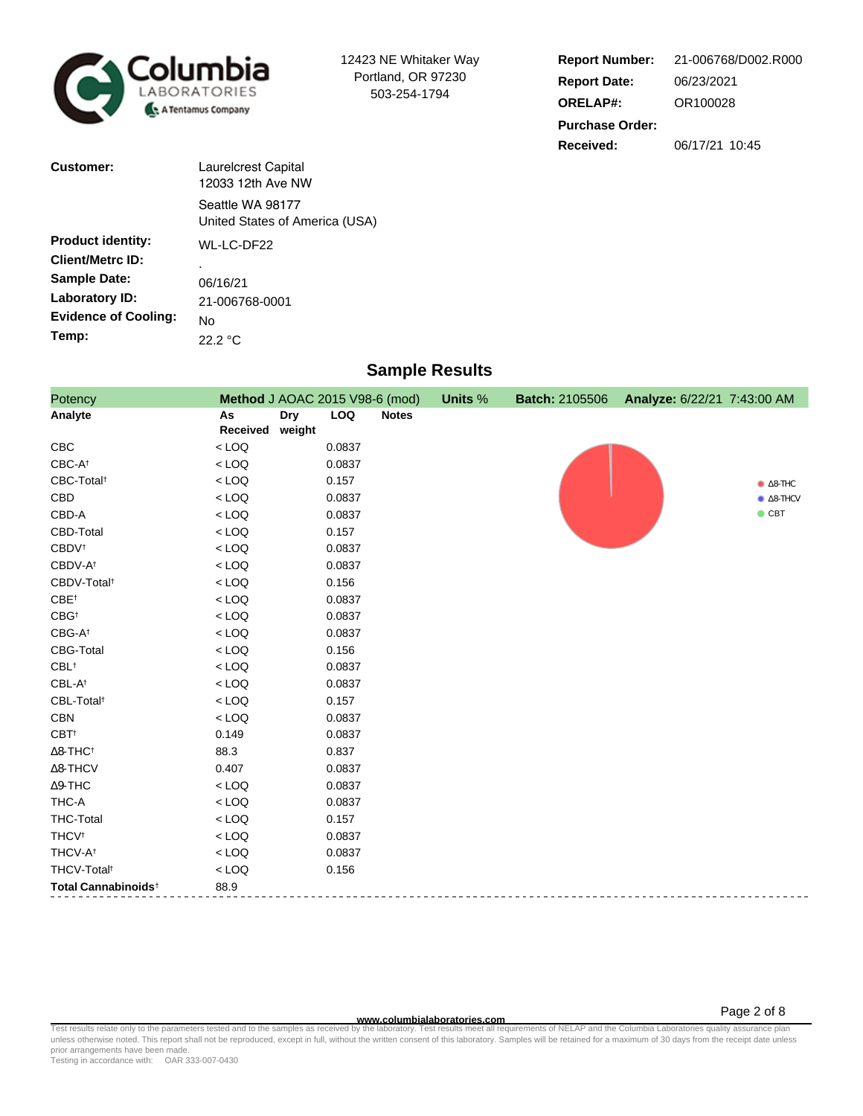

12423 NE Whitaker Way Portland, OR 97230 503-254-1794

| <b>Report Number:</b>  | 21-006768/D002.R000 |  |  |  |  |
|------------------------|---------------------|--|--|--|--|
| <b>Report Date:</b>    | 06/23/2021          |  |  |  |  |
| <b>ORELAP#:</b>        | OR100028            |  |  |  |  |
| <b>Purchase Order:</b> |                     |  |  |  |  |
| Received:              | 06/17/21 10:45      |  |  |  |  |

| <b>Customer:</b>            | <b>Laurelcrest Capital</b><br>12033 12th Ave NW    |
|-----------------------------|----------------------------------------------------|
|                             | Seattle WA 98177<br>United States of America (USA) |
| <b>Product identity:</b>    | WL-LC-DF22                                         |
| <b>Client/Metrc ID:</b>     |                                                    |
| <b>Sample Date:</b>         | 06/16/21                                           |
| Laboratory ID:              | 21-006768-0001                                     |
| <b>Evidence of Cooling:</b> | No                                                 |
| Temp:                       | 22.2 °C                                            |

## **Sample Results**

| Potency                         | Method J AOAC 2015 V98-6 (mod) |                      |            |              | Units % | <b>Batch: 2105506</b> | Analyze: 6/22/21 7:43:00 AM |                  |
|---------------------------------|--------------------------------|----------------------|------------|--------------|---------|-----------------------|-----------------------------|------------------|
| Analyte                         | As<br>Received                 | <b>Dry</b><br>weight | <b>LOQ</b> | <b>Notes</b> |         |                       |                             |                  |
| CBC                             | $<$ LOQ                        |                      | 0.0837     |              |         |                       |                             |                  |
| CBC-At                          | $<$ LOQ                        |                      | 0.0837     |              |         |                       |                             |                  |
| CBC-Total <sup>t</sup>          | $<$ LOQ                        |                      | 0.157      |              |         |                       |                             | $\bullet$ 8-THC  |
| CBD                             | $<$ LOQ                        |                      | 0.0837     |              |         |                       |                             | $\bullet$ 8-THCV |
| CBD-A                           | $<$ LOQ                        |                      | 0.0837     |              |         |                       |                             | $\bullet$ CBT    |
| CBD-Total                       | $<$ LOQ                        |                      | 0.157      |              |         |                       |                             |                  |
| <b>CBDV</b> <sup>t</sup>        | $<$ LOQ                        |                      | 0.0837     |              |         |                       |                             |                  |
| CBDV-A <sup>t</sup>             | $<$ LOQ                        |                      | 0.0837     |              |         |                       |                             |                  |
| CBDV-Total <sup>t</sup>         | $<$ LOQ                        |                      | 0.156      |              |         |                       |                             |                  |
| $CBE^{\dagger}$                 | $<$ LOQ                        |                      | 0.0837     |              |         |                       |                             |                  |
| $CBG^{\dagger}$                 | $<$ LOQ                        |                      | 0.0837     |              |         |                       |                             |                  |
| $CBG-A^{\dagger}$               | $<$ LOQ                        |                      | 0.0837     |              |         |                       |                             |                  |
| <b>CBG-Total</b>                | $<$ LOQ                        |                      | 0.156      |              |         |                       |                             |                  |
| $CBL$ <sup>†</sup>              | $<$ LOQ                        |                      | 0.0837     |              |         |                       |                             |                  |
| CBL-At                          | $<$ LOQ                        |                      | 0.0837     |              |         |                       |                             |                  |
| CBL-Total <sup>t</sup>          | $<$ LOQ                        |                      | 0.157      |              |         |                       |                             |                  |
| <b>CBN</b>                      | $<$ LOQ                        |                      | 0.0837     |              |         |                       |                             |                  |
| CBT <sup>t</sup>                | 0.149                          |                      | 0.0837     |              |         |                       |                             |                  |
| $\Delta$ 8-THC <sup>†</sup>     | 88.3                           |                      | 0.837      |              |         |                       |                             |                  |
| $\Delta$ 8-THCV                 | 0.407                          |                      | 0.0837     |              |         |                       |                             |                  |
| $\Delta$ 9-THC                  | $<$ LOQ                        |                      | 0.0837     |              |         |                       |                             |                  |
| THC-A                           | $<$ LOQ                        |                      | 0.0837     |              |         |                       |                             |                  |
| <b>THC-Total</b>                | $<$ LOQ                        |                      | 0.157      |              |         |                       |                             |                  |
| <b>THCV<sup>t</sup></b>         | $<$ LOQ                        |                      | 0.0837     |              |         |                       |                             |                  |
| THCV-A <sup>+</sup>             | $<$ LOQ                        |                      | 0.0837     |              |         |                       |                             |                  |
| THCV-Total <sup>t</sup>         | $<$ LOQ                        |                      | 0.156      |              |         |                       |                             |                  |
| Total Cannabinoids <sup>+</sup> | 88.9                           |                      |            |              |         |                       |                             |                  |

**WWW.columbialaboratories.com**<br>unless otherwise noted. This report shall not be reproduced, except in full, without the written consent of this laboratory. Samples will be retained for a maximum of 30 days from the receipt